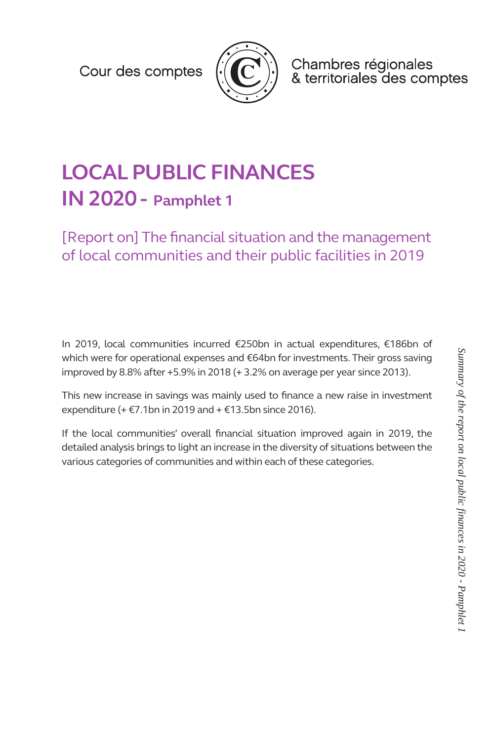Cour des comptes



Chambres régionales<br>& territoriales des comptes

# **LOCAL PUBLIC FINANCES IN 2020 - Pamphlet 1**

[Report on] The financial situation and the management of local communities and their public facilities in 2019

In 2019, local communities incurred €250bn in actual expenditures, €186bn of which were for operational expenses and €64bn for investments. Their gross saving improved by 8.8% after +5.9% in 2018 (+ 3.2% on average per year since 2013).

This new increase in savings was mainly used to finance a new raise in investment expenditure (+ $\epsilon$ 7.1bn in 2019 and + $\epsilon$ 13.5bn since 2016).

If the local communities' overall financial situation improved again in 2019, the detailed analysis brings to light an increase in the diversity of situations between the various categories of communities and within each of these categories.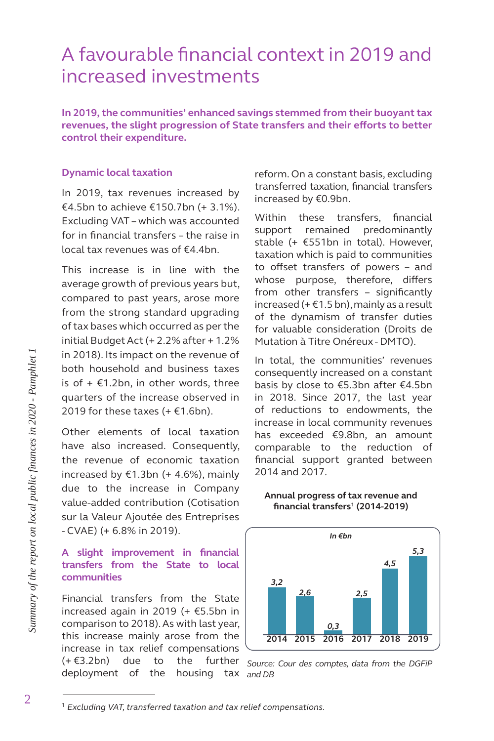# A favourable financial context in 2019 and increased investments

**In 2019, the communities' enhanced savings stemmed from their buoyant tax revenues, the slight progression of State transfers and their efforts to better control their expenditure.**

#### **Dynamic local taxation**

In 2019, tax revenues increased by €4.5bn to achieve €150.7bn (+ 3.1%). Excluding VAT – which was accounted for in financial transfers – the raise in local tax revenues was of €4.4bn.

This increase is in line with the average growth of previous years but, compared to past years, arose more from the strong standard upgrading of tax bases which occurred as per the initial Budget Act (+ 2.2% after + 1.2% in 2018). Its impact on the revenue of both household and business taxes is of  $+ \epsilon$ 1.2bn, in other words, three quarters of the increase observed in 2019 for these taxes  $(+ 61.6bn)$ .

Other elements of local taxation have also increased. Consequently, the revenue of economic taxation increased by  $£1.3$ bn (+ 4.6%), mainly due to the increase in Company value-added contribution (Cotisation sur la Valeur Ajoutée des Entreprises - CVAE) (+ 6.8% in 2019).

### **A slight improvement in financial transfers from the State to local communities**

Financial transfers from the State increased again in 2019 (+ €5.5bn in comparison to 2018). As with last year, this increase mainly arose from the increase in tax relief compensations (+ €3.2bn) due to the further deployment of the housing tax *and DB*

reform. On a constant basis, excluding transferred taxation, financial transfers increased by €0.9bn.

Within these transfers, financial support remained predominantly stable (+ €551bn in total). However, taxation which is paid to communities to offset transfers of powers – and whose purpose, therefore, differs from other transfers – significantly increased (+ $€1.5$  bn), mainly as a result of the dynamism of transfer duties for valuable consideration (Droits de Mutation à Titre Onéreux - DMTO).

In total, the communities' revenues consequently increased on a constant basis by close to €5.3bn after €4.5bn in 2018. Since 2017, the last year of reductions to endowments, the increase in local community revenues has exceeded €9.8bn, an amount comparable to the reduction of financial support granted between 2014 and 2017.

#### **Annual progress of tax revenue and financial transfers1 (2014-2019)**



*Source: Cour des comptes, data from the DGFiP* 

<sup>1</sup> *Excluding VAT, transferred taxation and tax relief compensations.*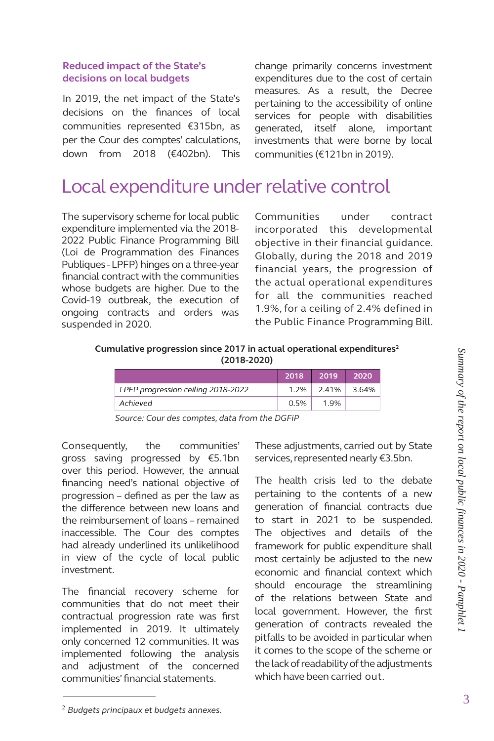### **Reduced impact of the State's decisions on local budgets**

In 2019, the net impact of the State's decisions on the finances of local communities represented €315bn, as per the Cour des comptes' calculations, down from 2018 (€402bn). This

change primarily concerns investment expenditures due to the cost of certain measures. As a result, the Decree pertaining to the accessibility of online services for people with disabilities generated, itself alone, important investments that were borne by local communities (€121bn in 2019).

# Local expenditure under relative control

The supervisory scheme for local public expenditure implemented via the 2018- 2022 Public Finance Programming Bill (Loi de Programmation des Finances Publiques - LPFP) hinges on a three-year financial contract with the communities whose budgets are higher. Due to the Covid-19 outbreak, the execution of ongoing contracts and orders was suspended in 2020.

Communities under contract incorporated this developmental objective in their financial guidance. Globally, during the 2018 and 2019 financial years, the progression of the actual operational expenditures for all the communities reached 1.9%, for a ceiling of 2.4% defined in the Public Finance Programming Bill.

#### **Cumulative progression since 2017 in actual operational expenditures2 (2018-2020)**

|                                    | 2018 2019 |                     | $\parallel$ 2020 |
|------------------------------------|-----------|---------------------|------------------|
| LPFP progression ceiling 2018-2022 |           | $1.2\%$ 2.41% 3.64% |                  |
| Achieved                           | 0.5%      | 1.9%                |                  |

*Source: Cour des comptes, data from the DGFiP*

Consequently, the communities' gross saving progressed by €5.1bn over this period. However, the annual financing need's national objective of progression – defined as per the law as the difference between new loans and the reimbursement of loans – remained inaccessible. The Cour des comptes had already underlined its unlikelihood in view of the cycle of local public investment.

The financial recovery scheme for communities that do not meet their contractual progression rate was first implemented in 2019. It ultimately only concerned 12 communities. It was implemented following the analysis and adjustment of the concerned communities' financial statements.

These adjustments, carried out by State services, represented nearly €3.5bn.

The health crisis led to the debate pertaining to the contents of a new generation of financial contracts due to start in 2021 to be suspended. The objectives and details of the framework for public expenditure shall most certainly be adjusted to the new economic and financial context which should encourage the streamlining of the relations between State and local government. However, the first generation of contracts revealed the pitfalls to be avoided in particular when it comes to the scope of the scheme or the lack of readability of the adjustments which have been carried out.

<sup>2</sup> *Budgets principaux et budgets annexes.*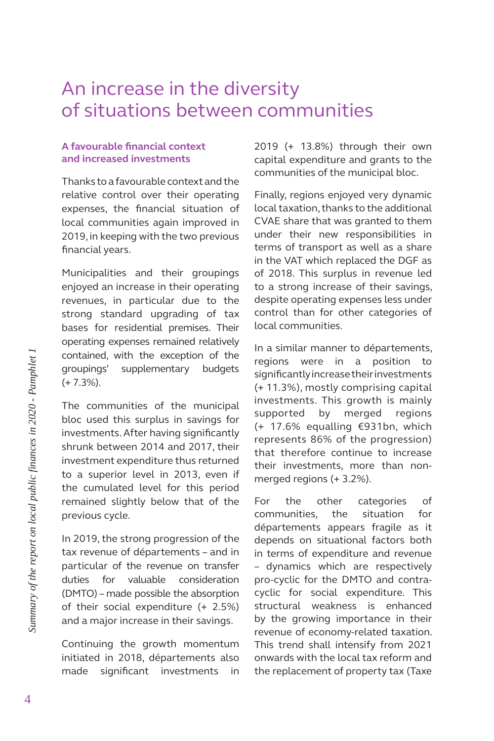## An increase in the diversity of situations between communities

### **A favourable financial context and increased investments**

Thanks to a favourable context and the relative control over their operating expenses, the financial situation of local communities again improved in 2019, in keeping with the two previous financial years.

Municipalities and their groupings enjoyed an increase in their operating revenues, in particular due to the strong standard upgrading of tax bases for residential premises. Their operating expenses remained relatively contained, with the exception of the groupings' supplementary budgets (+ 7.3%).

The communities of the municipal bloc used this surplus in savings for investments. After having significantly shrunk between 2014 and 2017, their investment expenditure thus returned to a superior level in 2013, even if the cumulated level for this period remained slightly below that of the previous cycle.

In 2019, the strong progression of the tax revenue of départements – and in particular of the revenue on transfer duties for valuable consideration (DMTO) – made possible the absorption of their social expenditure (+ 2.5%) and a major increase in their savings.

Continuing the growth momentum initiated in 2018, départements also made significant investments in

2019 (+ 13.8%) through their own capital expenditure and grants to the communities of the municipal bloc.

Finally, regions enjoyed very dynamic local taxation, thanks to the additional CVAE share that was granted to them under their new responsibilities in terms of transport as well as a share in the VAT which replaced the DGF as of 2018. This surplus in revenue led to a strong increase of their savings, despite operating expenses less under control than for other categories of local communities.

In a similar manner to départements, regions were in a position to significantly increase their investments (+ 11.3%), mostly comprising capital investments. This growth is mainly supported by merged regions (+ 17.6% equalling €931bn, which represents 86% of the progression) that therefore continue to increase their investments, more than nonmerged regions (+ 3.2%).

For the other categories of communities, the situation for départements appears fragile as it depends on situational factors both in terms of expenditure and revenue – dynamics which are respectively pro-cyclic for the DMTO and contracyclic for social expenditure. This structural weakness is enhanced by the growing importance in their revenue of economy-related taxation. This trend shall intensify from 2021 onwards with the local tax reform and the replacement of property tax (Taxe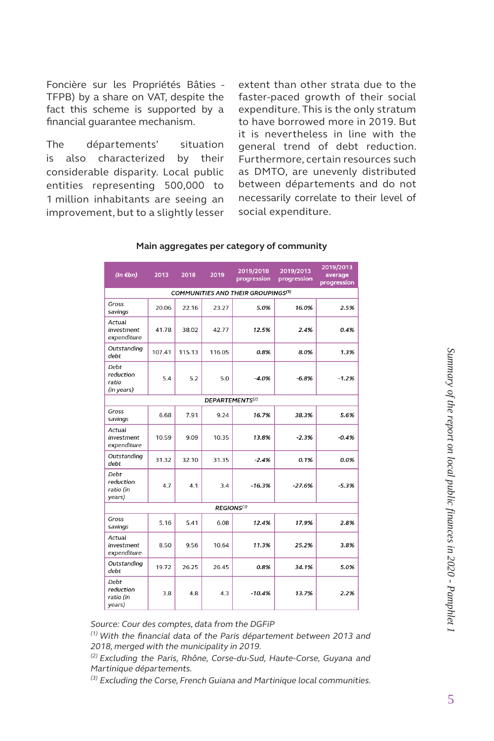Foncière sur les Propriétés Bâties - TFPB) by a share on VAT, despite the fact this scheme is supported by a financial guarantee mechanism.

The départements' situation is also characterized by their considerable disparity. Local public entities representing 500,000 to 1 million inhabitants are seeing an improvement, but to a slightly lesser extent than other strata due to the faster-paced growth of their social expenditure. This is the only stratum to have borrowed more in 2019. But it is nevertheless in line with the general trend of debt reduction. Furthermore, certain resources such as DMTO, are unevenly distributed between départements and do not necessarily correlate to their level of social expenditure.

| $(ln \in bn)$                                  | 2013   | 2018   | 2019   | 2019/2018<br>progression | 2019/2013<br>progression | 2019/2013<br>average<br>progression |  |  |  |
|------------------------------------------------|--------|--------|--------|--------------------------|--------------------------|-------------------------------------|--|--|--|
| COMMUNITIES AND THEIR GROUPINGS <sup>(1)</sup> |        |        |        |                          |                          |                                     |  |  |  |
| Gross<br>savings                               | 20.06  | 22.16  | 23.27  | 5.0%                     | 16.0%                    | 2.5%                                |  |  |  |
| Actual<br>investment<br>expenditure            | 41.78  | 38.02  | 42.77  | 12.5%                    | 2.4%                     | 0.4%                                |  |  |  |
| Outstanding<br>debt                            | 107.41 | 115.13 | 116.05 | 0.8%                     | 8.0%                     | 1.3%                                |  |  |  |
| Debt<br>reduction<br>ratio<br>(in years)       | 5.4    | 5.2    | 5.0    | $-4.0%$                  | $-6.8%$                  | $-1.2%$                             |  |  |  |
| DEPARTEMENTS <sup>(2)</sup>                    |        |        |        |                          |                          |                                     |  |  |  |
| Gross<br>savings                               | 6.68   | 7.91   | 9.24   | 16.7%                    | 38.3%                    | 5.6%                                |  |  |  |
| Actual<br>investment<br>expenditure            | 10.59  | 9.09   | 10.35  | 13.8%                    | $-2.3%$                  | $-0.4%$                             |  |  |  |
| Outstanding<br>debt                            | 31.32  | 32.10  | 31.35  | $-2.4%$                  | 0.1%                     | 0.0%                                |  |  |  |
| Debt<br>reduction<br>ratio (in<br>years)       | 4.7    | 4.1    | 3.4    | $-16.3%$                 | $-27.6%$                 | $-5.3%$                             |  |  |  |
| REGIONS <sup>(3)</sup>                         |        |        |        |                          |                          |                                     |  |  |  |
| Gross<br>savings                               | 5.16   | 5.41   | 6.08   | 12.4%                    | 17.9%                    | 2.8%                                |  |  |  |
| Actual<br>investment<br>expenditure            | 8.50   | 9.56   | 10.64  | 11.3%                    | 25.2%                    | 3.8%                                |  |  |  |
| Outstanding<br>debt                            | 19.72  | 26.25  | 26.45  | 0.8%                     | 34.1%                    | 5.0%                                |  |  |  |
| Debt<br>reduction<br>ratio (in<br>years)       | 3.8    | 4.8    | 4.3    | $-10.4%$                 | 13.7%                    | 2.2%                                |  |  |  |

#### **Main aggregates per category of community**

*Source: Cour des comptes, data from the DGFiP*

*(1) With the financial data of the Paris département between 2013 and 2018, merged with the municipality in 2019.*

*(2) Excluding the Paris, Rhône, Corse-du-Sud, Haute-Corse, Guyana and Martinique départements.*

*(3) Excluding the Corse, French Guiana and Martinique local communities.*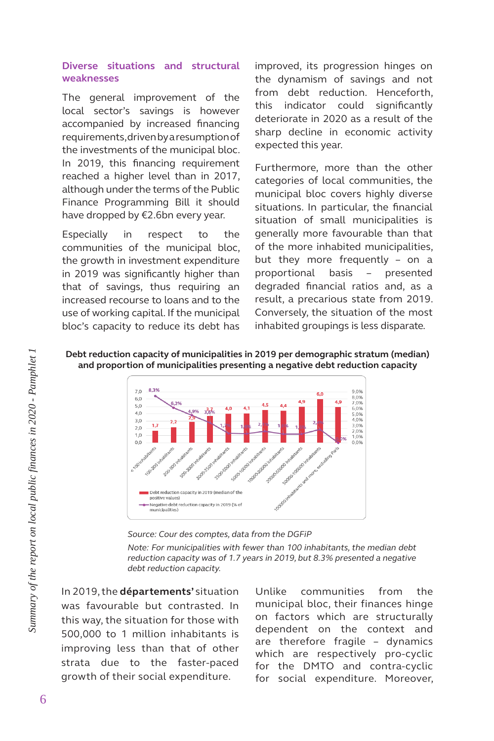#### **Diverse situations and structural weaknesses**

The general improvement of the local sector's savings is however accompanied by increased financing requirements, driven by a resumption of the investments of the municipal bloc. In 2019, this financing requirement reached a higher level than in 2017, although under the terms of the Public Finance Programming Bill it should have dropped by €2.6bn every year.

Especially in respect to the communities of the municipal bloc, the growth in investment expenditure in 2019 was significantly higher than that of savings, thus requiring an increased recourse to loans and to the use of working capital. If the municipal bloc's capacity to reduce its debt has

improved, its progression hinges on the dynamism of savings and not from debt reduction. Henceforth, this indicator could significantly deteriorate in 2020 as a result of the sharp decline in economic activity expected this year.

Furthermore, more than the other categories of local communities, the municipal bloc covers highly diverse situations. In particular, the financial situation of small municipalities is generally more favourable than that of the more inhabited municipalities, but they more frequently – on a proportional basis – presented degraded financial ratios and, as a result, a precarious state from 2019. Conversely, the situation of the most inhabited groupings is less disparate.

**Debt reduction capacity of municipalities in 2019 per demographic stratum (median) and proportion of municipalities presenting a negative debt reduction capacity**



*Source: Cour des comptes, data from the DGFiP*

*Note: For municipalities with fewer than 100 inhabitants, the median debt reduction capacity was of 1.7 years in 2019, but 8.3% presented a negative debt reduction capacity.*

In 2019, the **départements'** situation was favourable but contrasted. In this way, the situation for those with 500,000 to 1 million inhabitants is improving less than that of other strata due to the faster-paced growth of their social expenditure.

Unlike communities from the municipal bloc, their finances hinge on factors which are structurally dependent on the context and are therefore fragile – dynamics which are respectively pro-cyclic for the DMTO and contra-cyclic for social expenditure. Moreover,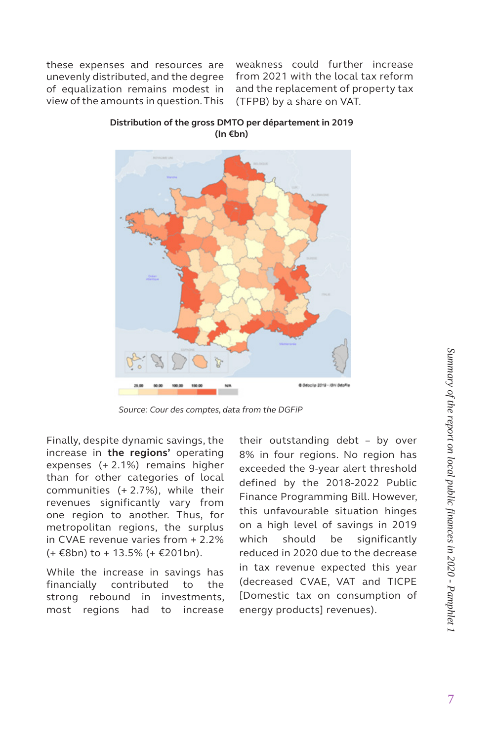these expenses and resources are unevenly distributed, and the degree of equalization remains modest in view of the amounts in question. This

weakness could further increase from 2021 with the local tax reform and the replacement of property tax (TFPB) by a share on VAT.





*Source: Cour des comptes, data from the DGFiP*

Finally, despite dynamic savings, the increase in **the regions'** operating expenses (+ 2.1%) remains higher than for other categories of local communities (+ 2.7%), while their revenues significantly vary from one region to another. Thus, for metropolitan regions, the surplus in CVAE revenue varies from + 2.2% (+ €8bn) to + 13.5% (+ €201bn).

While the increase in savings has financially contributed to the strong rebound in investments, most regions had to increase

their outstanding debt – by over 8% in four regions. No region has exceeded the 9-year alert threshold defined by the 2018-2022 Public Finance Programming Bill. However, this unfavourable situation hinges on a high level of savings in 2019 which should be significantly reduced in 2020 due to the decrease in tax revenue expected this year (decreased CVAE, VAT and TICPE [Domestic tax on consumption of energy products] revenues).